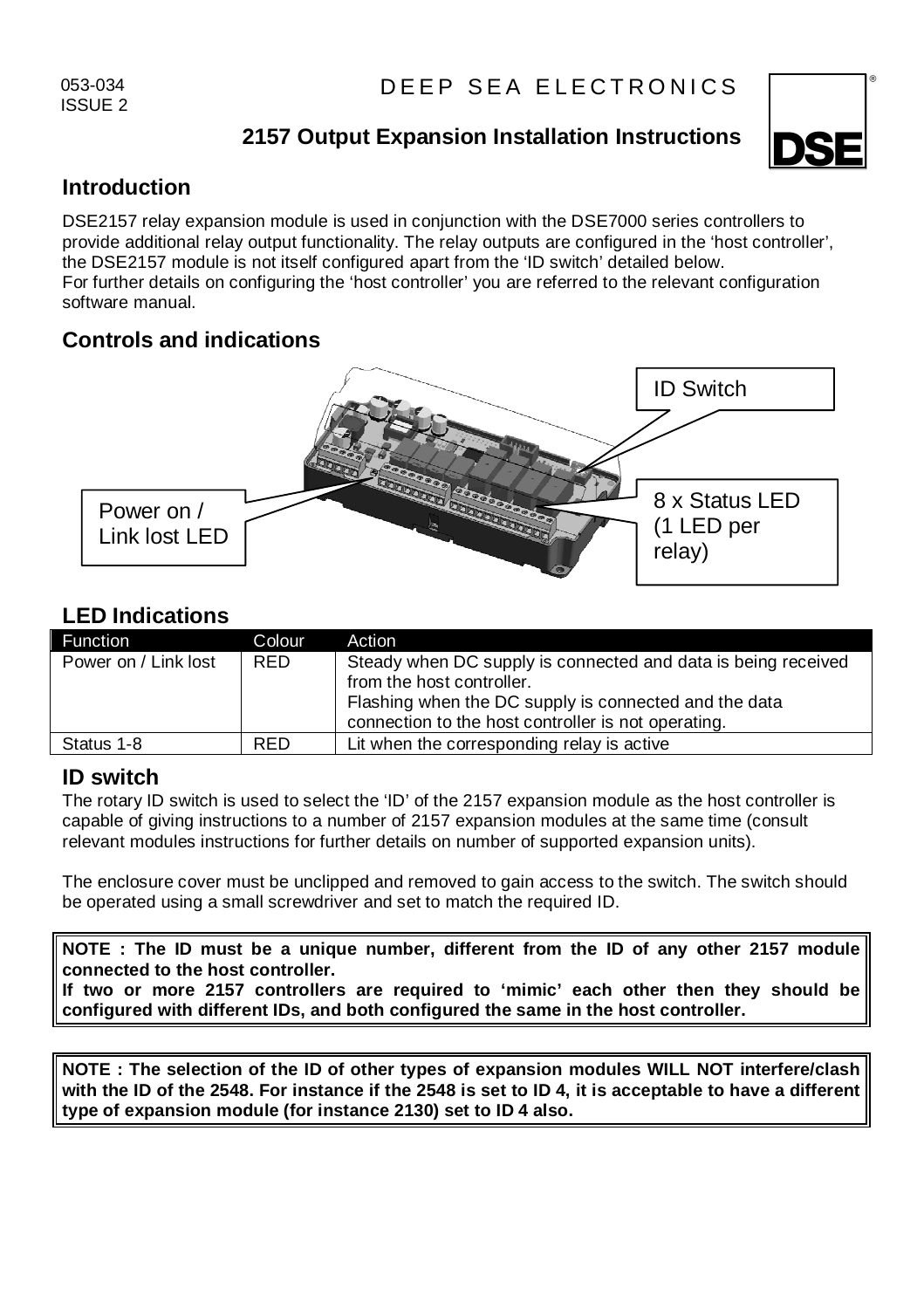053-034 ISSUE 2

# **2157 Output Expansion Installation Instructions**



## **Introduction**

DSE2157 relay expansion module is used in conjunction with the DSE7000 series controllers to provide additional relay output functionality. The relay outputs are configured in the 'host controller', the DSE2157 module is not itself configured apart from the 'ID switch' detailed below. For further details on configuring the 'host controller' you are referred to the relevant configuration software manual.

# **Controls and indications**



## **LED Indications**

| Function             | Colour | Action                                                                                                                                                                                                     |
|----------------------|--------|------------------------------------------------------------------------------------------------------------------------------------------------------------------------------------------------------------|
| Power on / Link lost | RED.   | Steady when DC supply is connected and data is being received<br>from the host controller.<br>Flashing when the DC supply is connected and the data<br>connection to the host controller is not operating. |
| Status 1-8           | RFD.   | Lit when the corresponding relay is active                                                                                                                                                                 |

## **ID switch**

The rotary ID switch is used to select the 'ID' of the 2157 expansion module as the host controller is capable of giving instructions to a number of 2157 expansion modules at the same time (consult relevant modules instructions for further details on number of supported expansion units).

The enclosure cover must be unclipped and removed to gain access to the switch. The switch should be operated using a small screwdriver and set to match the required ID.

**NOTE : The ID must be a unique number, different from the ID of any other 2157 module connected to the host controller.** 

**If two or more 2157 controllers are required to 'mimic' each other then they should be configured with different IDs, and both configured the same in the host controller.** 

**NOTE : The selection of the ID of other types of expansion modules WILL NOT interfere/clash with the ID of the 2548. For instance if the 2548 is set to ID 4, it is acceptable to have a different type of expansion module (for instance 2130) set to ID 4 also.**